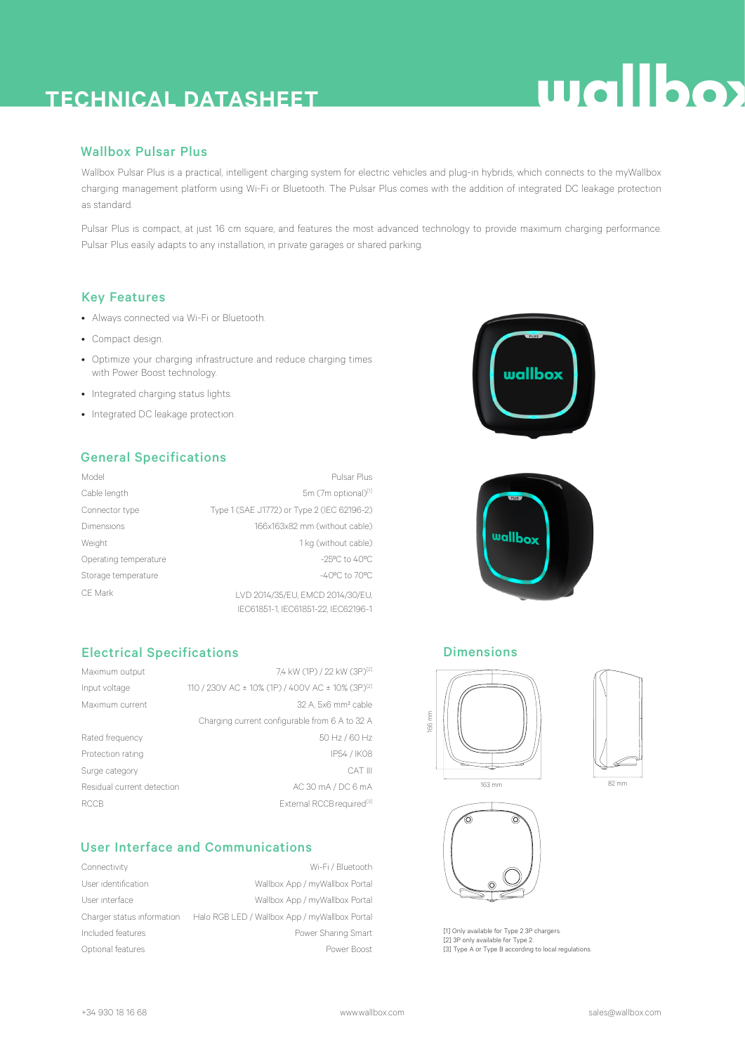### **TECHNICAL DATASHEET**

## **Wallbox**

#### Wallbox Pulsar Plus

Wallbox Pulsar Plus is a practical, intelligent charging system for electric vehicles and plug-in hybrids, which connects to the myWallbox charging management platform using Wi-Fi or Bluetooth. The Pulsar Plus comes with the addition of integrated DC leakage protection as standard.

Pulsar Plus is compact, at just 16 cm square, and features the most advanced technology to provide maximum charging performance. Pulsar Plus easily adapts to any installation, in private garages or shared parking.

#### Key Features

- Always connected via Wi-Fi or Bluetooth.
- Compact design.
- Optimize your charging infrastructure and reduce charging times with Power Boost technology.
- Integrated charging status lights.
- Integrated DC leakage protection.

#### General Specifications

| Model                 | Pulsar Plus                                |
|-----------------------|--------------------------------------------|
| Cable length          | 5m (7m optional)[1]                        |
| Connector type        | Type 1 (SAE J1772) or Type 2 (IEC 62196-2) |
| Dimensions            | 166x163x82 mm (without cable)              |
| Weight                | 1 kg (without cable)                       |
| Operating temperature | $-25^{\circ}$ C to $40^{\circ}$ C          |
| Storage temperature   | $-40^{\circ}$ C to 70 $^{\circ}$ C         |
| CF Mark               | LVD 2014/35/EU, EMCD 2014/30/EU.           |
|                       | IEC61851-1. IEC61851-22. IEC62196-1        |

#### Electrical Specifications

| Maximum output             | 7.4 kW (1P) / 22 kW (3P)[2]                                  |
|----------------------------|--------------------------------------------------------------|
| Input voltage              | 110 / 230V AC ± 10% (1P) / 400V AC ± 10% (3P) <sup>[2]</sup> |
| Maximum current            | 32 A. 5x6 mm <sup>2</sup> cable                              |
|                            | Charging current configurable from 6 A to 32 A               |
| Rated frequency            | 50 Hz / 60 Hz                                                |
| Protection rating          | IP54 / IK08                                                  |
| Surge category             | CAT III                                                      |
| Residual current detection | AC 30 mA / DC 6 mA                                           |
| <b>RCCB</b>                | External RCCB required <sup>[3]</sup>                        |

#### User Interface and Communications

| Connectivity               | Wi-Fi / Bluetooth                             |
|----------------------------|-----------------------------------------------|
| User identification        | Wallbox App / myWallbox Portal                |
| User interface             | Wallbox App / myWallbox Portal                |
| Charger status information | Halo RGB LED / Wallbox App / myWallbox Portal |
| Included features          | Power Sharing Smart                           |
| Optional features          | Power Boost                                   |





#### Dimensions







[1] Only available for Type 2 3P chargers. [2] 3P only available for Type 2. [3] Type A or Type B according to local regulations.